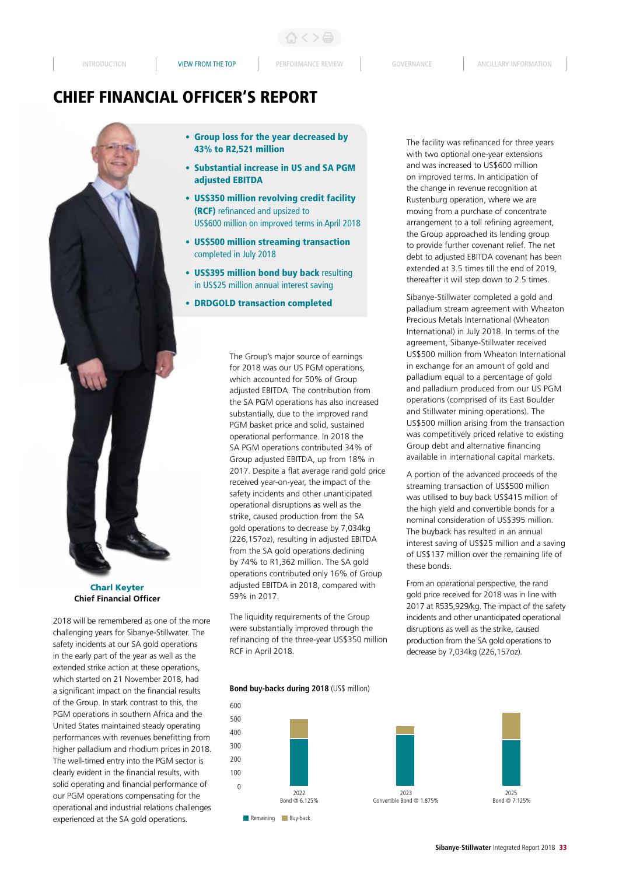# CHIEF FINANCIAL OFFICER'S REPORT



Charl Keyter **Chief Financial Officer**

2018 will be remembered as one of the more challenging years for Sibanye-Stillwater. The safety incidents at our SA gold operations in the early part of the year as well as the extended strike action at these operations, which started on 21 November 2018, had a significant impact on the financial results of the Group. In stark contrast to this, the PGM operations in southern Africa and the United States maintained steady operating performances with revenues benefitting from higher palladium and rhodium prices in 2018. The well-timed entry into the PGM sector is clearly evident in the financial results, with solid operating and financial performance of our PGM operations compensating for the operational and industrial relations challenges experienced at the SA gold operations.

- Group loss for the year decreased by 43% to R2,521 million
- Substantial increase in US and SA PGM adjusted EBITDA
- US\$350 million revolving credit facility (RCF) refinanced and upsized to US\$600 million on improved terms in April 2018
- US\$500 million streaming transaction completed in July 2018
- US\$395 million bond buy back resulting in US\$25 million annual interest saving
- DRDGOLD transaction completed

The Group's major source of earnings for 2018 was our US PGM operations, which accounted for 50% of Group adjusted EBITDA. The contribution from the SA PGM operations has also increased substantially, due to the improved rand PGM basket price and solid, sustained operational performance. In 2018 the SA PGM operations contributed 34% of Group adjusted EBITDA, up from 18% in 2017. Despite a flat average rand gold price received year-on-year, the impact of the safety incidents and other unanticipated operational disruptions as well as the strike, caused production from the SA gold operations to decrease by 7,034kg (226,157oz), resulting in adjusted EBITDA from the SA gold operations declining by 74% to R1,362 million. The SA gold operations contributed only 16% of Group adjusted EBITDA in 2018, compared with 59% in 2017.

The liquidity requirements of the Group were substantially improved through the refinancing of the three-year US\$350 million RCF in April 2018.

**Bond buy-backs during 2018** (US\$ million)



The facility was refinanced for three years with two optional one-year extensions and was increased to US\$600 million on improved terms. In anticipation of the change in revenue recognition at Rustenburg operation, where we are moving from a purchase of concentrate arrangement to a toll refining agreement, the Group approached its lending group to provide further covenant relief. The net debt to adjusted EBITDA covenant has been extended at 3.5 times till the end of 2019, thereafter it will step down to 2.5 times.

Sibanye-Stillwater completed a gold and palladium stream agreement with Wheaton Precious Metals International (Wheaton International) in July 2018. In terms of the agreement, Sibanye-Stillwater received US\$500 million from Wheaton International in exchange for an amount of gold and palladium equal to a percentage of gold and palladium produced from our US PGM operations (comprised of its East Boulder and Stillwater mining operations). The US\$500 million arising from the transaction was competitively priced relative to existing Group debt and alternative financing available in international capital markets.

A portion of the advanced proceeds of the streaming transaction of US\$500 million was utilised to buy back US\$415 million of the high yield and convertible bonds for a nominal consideration of US\$395 million. The buyback has resulted in an annual interest saving of US\$25 million and a saving of US\$137 million over the remaining life of these bonds.

From an operational perspective, the rand gold price received for 2018 was in line with 2017 at R535,929/kg. The impact of the safety incidents and other unanticipated operational disruptions as well as the strike, caused production from the SA gold operations to decrease by 7,034kg (226,157oz).

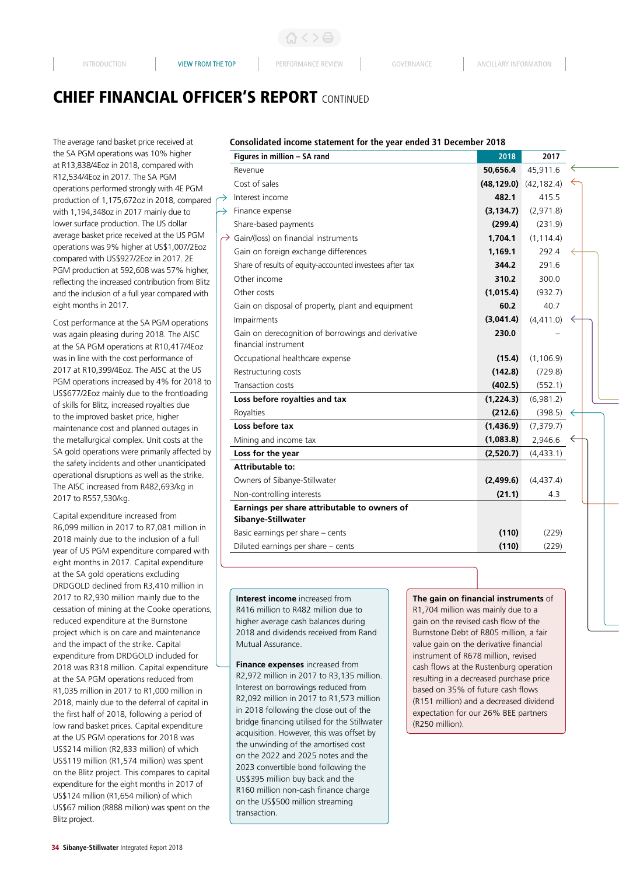# CHIEF FINANCIAL OFFICER'S REPORT CONTINUED

 $\rightarrow$ 

The average rand basket price received at the SA PGM operations was 10% higher at R13,838/4Eoz in 2018, compared with R12,534/4Eoz in 2017. The SA PGM operations performed strongly with 4E PGM production of 1,175,672oz in 2018, compared with 1,194,348oz in 2017 mainly due to lower surface production. The US dollar average basket price received at the US PGM operations was 9% higher at US\$1,007/2Eoz compared with US\$927/2Eoz in 2017. 2E PGM production at 592,608 was 57% higher, reflecting the increased contribution from Blitz and the inclusion of a full year compared with eight months in 2017.

Cost performance at the SA PGM operations was again pleasing during 2018. The AISC at the SA PGM operations at R10,417/4Eoz was in line with the cost performance of 2017 at R10,399/4Eoz. The AISC at the US PGM operations increased by 4% for 2018 to US\$677/2Eoz mainly due to the frontloading of skills for Blitz, increased royalties due to the improved basket price, higher maintenance cost and planned outages in the metallurgical complex. Unit costs at the SA gold operations were primarily affected by the safety incidents and other unanticipated operational disruptions as well as the strike. The AISC increased from R482,693/kg in 2017 to R557,530/kg.

Capital expenditure increased from R6,099 million in 2017 to R7,081 million in 2018 mainly due to the inclusion of a full year of US PGM expenditure compared with eight months in 2017. Capital expenditure at the SA gold operations excluding DRDGOLD declined from R3,410 million in 2017 to R2,930 million mainly due to the cessation of mining at the Cooke operations, reduced expenditure at the Burnstone project which is on care and maintenance and the impact of the strike. Capital expenditure from DRDGOLD included for 2018 was R318 million. Capital expenditure at the SA PGM operations reduced from R1,035 million in 2017 to R1,000 million in 2018, mainly due to the deferral of capital in the first half of 2018, following a period of low rand basket prices. Capital expenditure at the US PGM operations for 2018 was US\$214 million (R2,833 million) of which US\$119 million (R1,574 million) was spent on the Blitz project. This compares to capital expenditure for the eight months in 2017 of US\$124 million (R1,654 million) of which US\$67 million (R888 million) was spent on the Blitz project.

### **Consolidated income statement for the year ended 31 December 2018**

| Figures in million - SA rand                                               | 2018        | 2017        |   |  |
|----------------------------------------------------------------------------|-------------|-------------|---|--|
| Revenue                                                                    | 50,656.4    | 45,911.6    |   |  |
| Cost of sales                                                              | (48, 129.0) | (42, 182.4) |   |  |
| Interest income                                                            | 482.1       | 415.5       |   |  |
| Finance expense                                                            | (3, 134.7)  | (2,971.8)   |   |  |
| Share-based payments                                                       | (299.4)     | (231.9)     |   |  |
| Gain/(loss) on financial instruments                                       | 1,704.1     | (1, 114.4)  |   |  |
| Gain on foreign exchange differences                                       | 1,169.1     | 292.4       |   |  |
| Share of results of equity-accounted investees after tax                   | 344.2       | 291.6       |   |  |
| Other income                                                               | 310.2       | 300.0       |   |  |
| Other costs                                                                | (1,015.4)   | (932.7)     |   |  |
| Gain on disposal of property, plant and equipment                          | 60.2        | 40.7        |   |  |
| Impairments                                                                | (3,041.4)   | (4, 411.0)  | ← |  |
| Gain on derecognition of borrowings and derivative<br>financial instrument | 230.0       |             |   |  |
| Occupational healthcare expense                                            | (15.4)      | (1, 106.9)  |   |  |
| Restructuring costs                                                        | (142.8)     | (729.8)     |   |  |
| Transaction costs                                                          | (402.5)     | (552.1)     |   |  |
| Loss before royalties and tax                                              | (1,224.3)   | (6,981.2)   |   |  |
| Royalties                                                                  | (212.6)     | (398.5)     |   |  |
| Loss before tax                                                            | (1,436.9)   | (7, 379.7)  |   |  |
| Mining and income tax                                                      | (1,083.8)   | 2,946.6     |   |  |
| Loss for the year                                                          | (2,520.7)   | (4,433.1)   |   |  |
| Attributable to:                                                           |             |             |   |  |
| Owners of Sibanye-Stillwater                                               | (2,499.6)   | (4,437.4)   |   |  |
| Non-controlling interests                                                  | (21.1)      | 4.3         |   |  |
| Earnings per share attributable to owners of<br>Sibanye-Stillwater         |             |             |   |  |
| Basic earnings per share - cents                                           | (110)       | (229)       |   |  |
| Diluted earnings per share - cents                                         | (110)       | (229)       |   |  |
|                                                                            |             |             |   |  |

**Interest income** increased from R416 million to R482 million due to higher average cash balances during 2018 and dividends received from Rand Mutual Assurance.

**Finance expenses** increased from R2,972 million in 2017 to R3,135 million. Interest on borrowings reduced from R2,092 million in 2017 to R1,573 million in 2018 following the close out of the bridge financing utilised for the Stillwater acquisition. However, this was offset by the unwinding of the amortised cost on the 2022 and 2025 notes and the 2023 convertible bond following the US\$395 million buy back and the R160 million non-cash finance charge on the US\$500 million streaming transaction.

**The gain on financial instruments** of R1,704 million was mainly due to a gain on the revised cash flow of the Burnstone Debt of R805 million, a fair value gain on the derivative financial instrument of R678 million, revised cash flows at the Rustenburg operation resulting in a decreased purchase price based on 35% of future cash flows (R151 million) and a decreased dividend expectation for our 26% BEE partners (R250 million).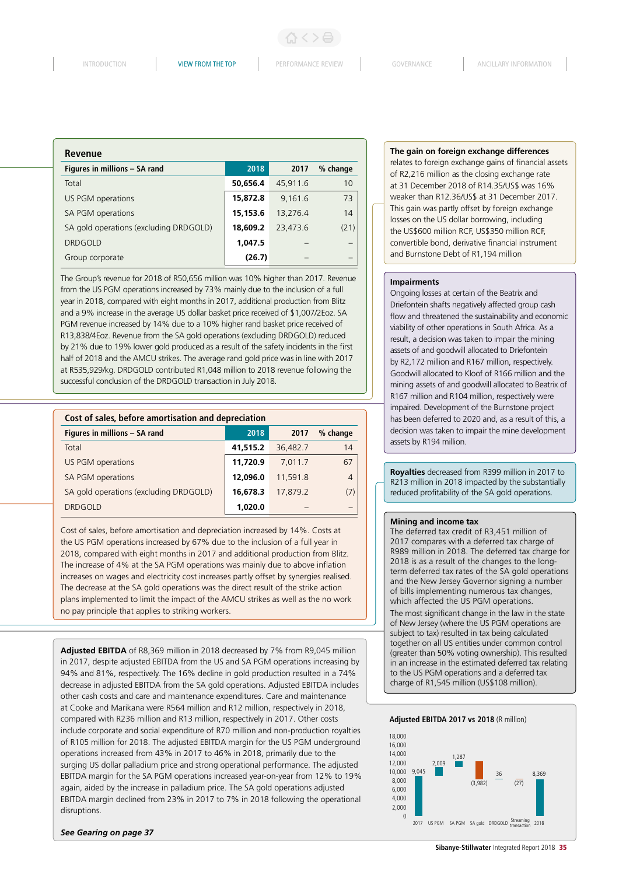| <b>Revenue</b>                         |          |          |          |
|----------------------------------------|----------|----------|----------|
| Figures in millions - SA rand          | 2018     | 2017     | % change |
| Total                                  | 50,656.4 | 45.911.6 | 10       |
| US PGM operations                      | 15,872.8 | 9.161.6  | 73       |
| SA PGM operations                      | 15,153.6 | 13,276.4 | 14       |
| SA gold operations (excluding DRDGOLD) | 18,609.2 | 23,473.6 | (21)     |
| <b>DRDGOLD</b>                         | 1,047.5  |          |          |
| Group corporate                        | (26.7)   |          |          |

The Group's revenue for 2018 of R50,656 million was 10% higher than 2017. Revenue from the US PGM operations increased by 73% mainly due to the inclusion of a full year in 2018, compared with eight months in 2017, additional production from Blitz and a 9% increase in the average US dollar basket price received of \$1,007/2Eoz. SA PGM revenue increased by 14% due to a 10% higher rand basket price received of R13,838/4Eoz. Revenue from the SA gold operations (excluding DRDGOLD) reduced by 21% due to 19% lower gold produced as a result of the safety incidents in the first half of 2018 and the AMCU strikes. The average rand gold price was in line with 2017 at R535,929/kg. DRDGOLD contributed R1,048 million to 2018 revenue following the successful conclusion of the DRDGOLD transaction in July 2018.

| Cost of sales, before amortisation and depreciation |          |          |                |
|-----------------------------------------------------|----------|----------|----------------|
| Figures in millions - SA rand                       | 2018     | 2017     | % change       |
| Total                                               | 41,515.2 | 36,482.7 | 14             |
| US PGM operations                                   | 11,720.9 | 7.011.7  | 67             |
| SA PGM operations                                   | 12.096.0 | 11,591.8 | $\overline{4}$ |
| SA gold operations (excluding DRDGOLD)              | 16,678.3 | 17,879.2 | (7)            |
| <b>DRDGOLD</b>                                      | 1.020.0  |          |                |

Cost of sales, before amortisation and depreciation increased by 14%. Costs at the US PGM operations increased by 67% due to the inclusion of a full year in 2018, compared with eight months in 2017 and additional production from Blitz. The increase of 4% at the SA PGM operations was mainly due to above inflation increases on wages and electricity cost increases partly offset by synergies realised. The decrease at the SA gold operations was the direct result of the strike action plans implemented to limit the impact of the AMCU strikes as well as the no work no pay principle that applies to striking workers.

**Adjusted EBITDA** of R8,369 million in 2018 decreased by 7% from R9,045 million in 2017, despite adjusted EBITDA from the US and SA PGM operations increasing by 94% and 81%, respectively. The 16% decline in gold production resulted in a 74% decrease in adjusted EBITDA from the SA gold operations. Adjusted EBITDA includes other cash costs and care and maintenance expenditures. Care and maintenance at Cooke and Marikana were R564 million and R12 million, respectively in 2018, compared with R236 million and R13 million, respectively in 2017. Other costs include corporate and social expenditure of R70 million and non-production royalties of R105 million for 2018. The adjusted EBITDA margin for the US PGM underground operations increased from 43% in 2017 to 46% in 2018, primarily due to the surging US dollar palladium price and strong operational performance. The adjusted EBITDA margin for the SA PGM operations increased year-on-year from 12% to 19% again, aided by the increase in palladium price. The SA gold operations adjusted EBITDA margin declined from 23% in 2017 to 7% in 2018 following the operational disruptions.

### *See Gearing on page 37*

#### **The gain on foreign exchange differences**

relates to foreign exchange gains of financial assets of R2,216 million as the closing exchange rate at 31 December 2018 of R14.35/US\$ was 16% weaker than R12.36/US\$ at 31 December 2017. This gain was partly offset by foreign exchange losses on the US dollar borrowing, including the US\$600 million RCF, US\$350 million RCF, convertible bond, derivative financial instrument and Burnstone Debt of R1,194 million

### **Impairments**

Ongoing losses at certain of the Beatrix and Driefontein shafts negatively affected group cash flow and threatened the sustainability and economic viability of other operations in South Africa. As a result, a decision was taken to impair the mining assets of and goodwill allocated to Driefontein by R2,172 million and R167 million, respectively. Goodwill allocated to Kloof of R166 million and the mining assets of and goodwill allocated to Beatrix of R167 million and R104 million, respectively were impaired. Development of the Burnstone project has been deferred to 2020 and, as a result of this, a decision was taken to impair the mine development assets by R194 million.

**Royalties** decreased from R399 million in 2017 to R213 million in 2018 impacted by the substantially reduced profitability of the SA gold operations.

#### **Mining and income tax**

The deferred tax credit of R3,451 million of 2017 compares with a deferred tax charge of R989 million in 2018. The deferred tax charge for 2018 is as a result of the changes to the longterm deferred tax rates of the SA gold operations and the New Jersey Governor signing a number of bills implementing numerous tax changes, which affected the US PGM operations.

The most significant change in the law in the state of New Jersey (where the US PGM operations are subject to tax) resulted in tax being calculated together on all US entities under common control (greater than 50% voting ownership). This resulted in an increase in the estimated deferred tax relating to the US PGM operations and a deferred tax charge of R1,545 million (US\$108 million).



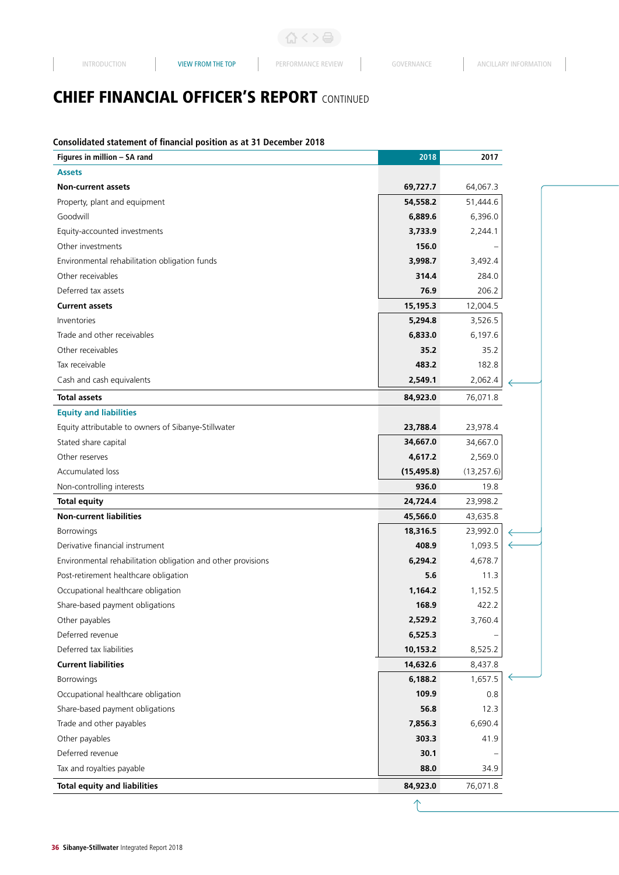# **CHIEF FINANCIAL OFFICER'S REPORT CONTINUED**

## **Consolidated statement of financial position as at 31 December 2018**

| Figures in million - SA rand                                 | 2018        | 2017       |  |
|--------------------------------------------------------------|-------------|------------|--|
| <b>Assets</b>                                                |             |            |  |
| <b>Non-current assets</b>                                    | 69,727.7    | 64,067.3   |  |
| Property, plant and equipment                                | 54,558.2    | 51,444.6   |  |
| Goodwill                                                     | 6,889.6     | 6,396.0    |  |
| Equity-accounted investments                                 | 3,733.9     | 2,244.1    |  |
| Other investments                                            | 156.0       |            |  |
| Environmental rehabilitation obligation funds                | 3,998.7     | 3,492.4    |  |
| Other receivables                                            | 314.4       | 284.0      |  |
| Deferred tax assets                                          | 76.9        | 206.2      |  |
| <b>Current assets</b>                                        | 15,195.3    | 12,004.5   |  |
| Inventories                                                  | 5,294.8     | 3,526.5    |  |
| Trade and other receivables                                  | 6,833.0     | 6,197.6    |  |
| Other receivables                                            | 35.2        | 35.2       |  |
| Tax receivable                                               | 483.2       | 182.8      |  |
| Cash and cash equivalents                                    | 2,549.1     | 2,062.4    |  |
| <b>Total assets</b>                                          | 84,923.0    | 76,071.8   |  |
| <b>Equity and liabilities</b>                                |             |            |  |
| Equity attributable to owners of Sibanye-Stillwater          | 23,788.4    | 23,978.4   |  |
| Stated share capital                                         | 34,667.0    | 34,667.0   |  |
| Other reserves                                               | 4,617.2     | 2,569.0    |  |
| Accumulated loss                                             | (15, 495.8) | (13,257.6) |  |
| Non-controlling interests                                    | 936.0       | 19.8       |  |
| <b>Total equity</b>                                          | 24,724.4    | 23,998.2   |  |
| <b>Non-current liabilities</b>                               | 45,566.0    | 43,635.8   |  |
| Borrowings                                                   | 18,316.5    | 23,992.0   |  |
| Derivative financial instrument                              | 408.9       | 1,093.5    |  |
| Environmental rehabilitation obligation and other provisions | 6,294.2     | 4,678.7    |  |
| Post-retirement healthcare obligation                        | 5.6         | 11.3       |  |
| Occupational healthcare obligation                           | 1,164.2     | 1,152.5    |  |
| Share-based payment obligations                              | 168.9       | 422.2      |  |
| Other payables                                               | 2,529.2     | 3,760.4    |  |
| Deferred revenue                                             | 6,525.3     |            |  |
| Deferred tax liabilities                                     | 10,153.2    | 8,525.2    |  |
| <b>Current liabilities</b>                                   | 14,632.6    | 8,437.8    |  |
| Borrowings                                                   | 6,188.2     | 1,657.5    |  |
| Occupational healthcare obligation                           | 109.9       | 0.8        |  |
| Share-based payment obligations                              | 56.8        | 12.3       |  |
| Trade and other payables                                     | 7,856.3     | 6,690.4    |  |
| Other payables                                               | 303.3       | 41.9       |  |
| Deferred revenue                                             | 30.1        |            |  |
| Tax and royalties payable                                    | 88.0        | 34.9       |  |
| <b>Total equity and liabilities</b>                          | 84,923.0    | 76,071.8   |  |
|                                                              |             |            |  |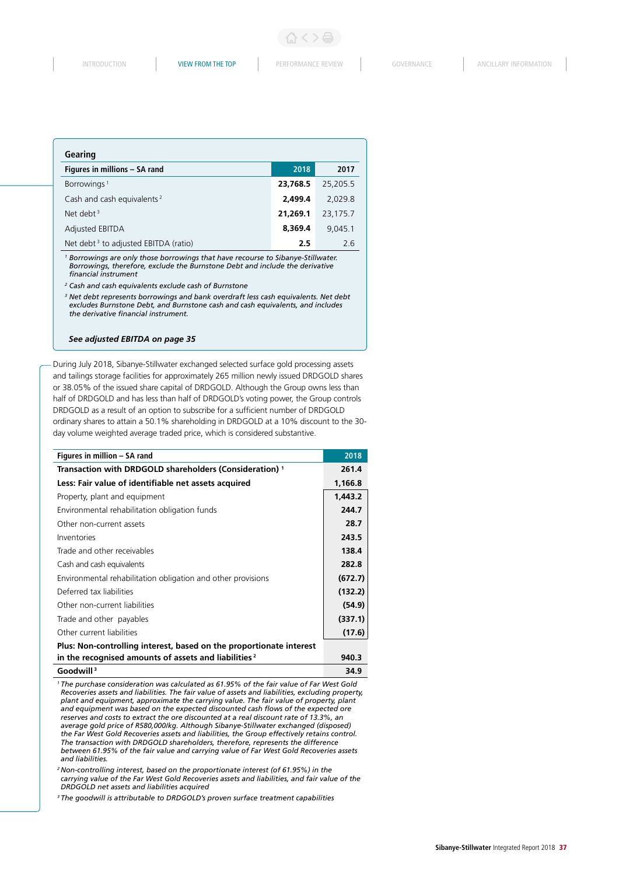| Gearing                                          |          |          |
|--------------------------------------------------|----------|----------|
| Figures in millions - SA rand                    | 2018     | 2017     |
| Borrowings <sup>1</sup>                          | 23.768.5 | 25,205.5 |
| Cash and cash equivalents <sup>2</sup>           | 2,499.4  | 2.029.8  |
| Net debt $3$                                     | 21,269.1 | 23,175.7 |
| Adjusted EBITDA                                  | 8,369.4  | 9.045.1  |
| Net debt <sup>3</sup> to adjusted EBITDA (ratio) | 2.5      | 26       |

*<sup>1</sup> Borrowings are only those borrowings that have recourse to Sibanye-Stillwater. Borrowings, therefore, exclude the Burnstone Debt and include the derivative financial instrument*

*2 Cash and cash equivalents exclude cash of Burnstone*

*<sup>3</sup> Net debt represents borrowings and bank overdraft less cash equivalents. Net debt excludes Burnstone Debt, and Burnstone cash and cash equivalents, and includes the derivative financial instrument.*

### *See adjusted EBITDA on page 35*

During July 2018, Sibanye-Stillwater exchanged selected surface gold processing assets and tailings storage facilities for approximately 265 million newly issued DRDGOLD shares or 38.05% of the issued share capital of DRDGOLD. Although the Group owns less than half of DRDGOLD and has less than half of DRDGOLD's voting power, the Group controls DRDGOLD as a result of an option to subscribe for a sufficient number of DRDGOLD ordinary shares to attain a 50.1% shareholding in DRDGOLD at a 10% discount to the 30 day volume weighted average traded price, which is considered substantive.

| Figures in million - SA rand                                        | 2018    |
|---------------------------------------------------------------------|---------|
| Transaction with DRDGOLD shareholders (Consideration) <sup>1</sup>  | 261.4   |
| Less: Fair value of identifiable net assets acquired                | 1,166.8 |
| Property, plant and equipment                                       | 1,443.2 |
| Environmental rehabilitation obligation funds                       | 244.7   |
| Other non-current assets                                            | 28.7    |
| Inventories                                                         | 243.5   |
| Trade and other receivables                                         | 138.4   |
| Cash and cash equivalents                                           | 282.8   |
| Environmental rehabilitation obligation and other provisions        | (672.7) |
| Deferred tax liabilities                                            | (132.2) |
| Other non-current liabilities                                       | (54.9)  |
| Trade and other payables                                            | (337.1) |
| Other current liabilities                                           | (17.6)  |
| Plus: Non-controlling interest, based on the proportionate interest |         |
| in the recognised amounts of assets and liabilities <sup>2</sup>    | 940.3   |
| Goodwill <sup>3</sup>                                               | 34.9    |

*1 The purchase consideration was calculated as 61.95% of the fair value of Far West Gold Recoveries assets and liabilities. The fair value of assets and liabilities, excluding property, plant and equipment, approximate the carrying value. The fair value of property, plant and equipment was based on the expected discounted cash flows of the expected ore reserves and costs to extract the ore discounted at a real discount rate of 13.3%, an average gold price of R580,000/kg. Although Sibanye-Stillwater exchanged (disposed) the Far West Gold Recoveries assets and liabilities, the Group effectively retains control. The transaction with DRDGOLD shareholders, therefore, represents the difference between 61.95% of the fair value and carrying value of Far West Gold Recoveries assets and liabilities.*

*2 Non-controlling interest, based on the proportionate interest (of 61.95%) in the carrying value of the Far West Gold Recoveries assets and liabilities, and fair value of the DRDGOLD net assets and liabilities acquired*

*3 The goodwill is attributable to DRDGOLD's proven surface treatment capabilities*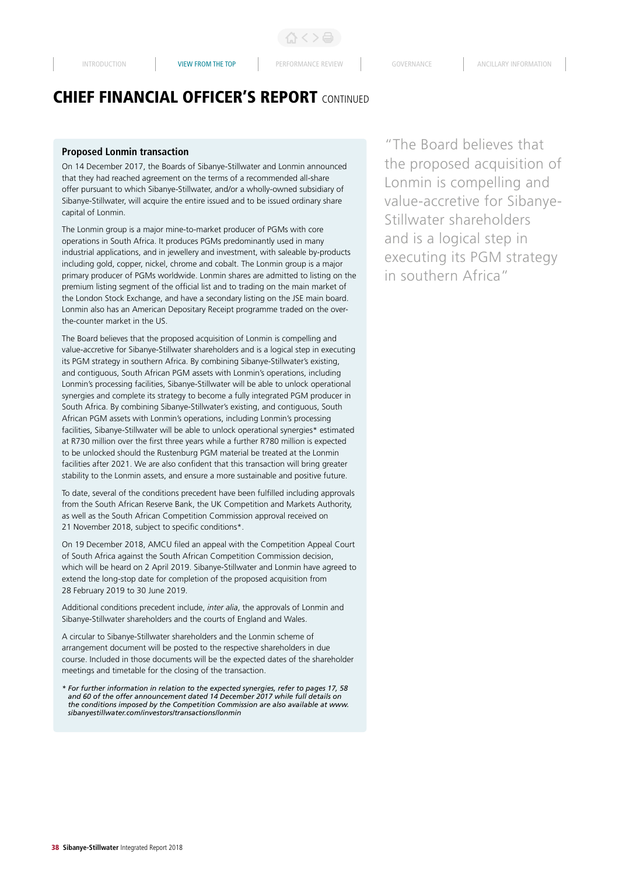# CHIEF FINANCIAL OFFICER'S REPORT CONTINUED

### **Proposed Lonmin transaction**

On 14 December 2017, the Boards of Sibanye-Stillwater and Lonmin announced that they had reached agreement on the terms of a recommended all-share offer pursuant to which Sibanye-Stillwater, and/or a wholly-owned subsidiary of Sibanye-Stillwater, will acquire the entire issued and to be issued ordinary share capital of Lonmin.

The Lonmin group is a major mine-to-market producer of PGMs with core operations in South Africa. It produces PGMs predominantly used in many industrial applications, and in jewellery and investment, with saleable by-products including gold, copper, nickel, chrome and cobalt. The Lonmin group is a major primary producer of PGMs worldwide. Lonmin shares are admitted to listing on the premium listing segment of the official list and to trading on the main market of the London Stock Exchange, and have a secondary listing on the JSE main board. Lonmin also has an American Depositary Receipt programme traded on the overthe-counter market in the US.

The Board believes that the proposed acquisition of Lonmin is compelling and value-accretive for Sibanye-Stillwater shareholders and is a logical step in executing its PGM strategy in southern Africa. By combining Sibanye-Stillwater's existing, and contiguous, South African PGM assets with Lonmin's operations, including Lonmin's processing facilities, Sibanye-Stillwater will be able to unlock operational synergies and complete its strategy to become a fully integrated PGM producer in South Africa. By combining Sibanye-Stillwater's existing, and contiguous, South African PGM assets with Lonmin's operations, including Lonmin's processing facilities, Sibanye-Stillwater will be able to unlock operational synergies\* estimated at R730 million over the first three years while a further R780 million is expected to be unlocked should the Rustenburg PGM material be treated at the Lonmin facilities after 2021. We are also confident that this transaction will bring greater stability to the Lonmin assets, and ensure a more sustainable and positive future.

To date, several of the conditions precedent have been fulfilled including approvals from the South African Reserve Bank, the UK Competition and Markets Authority, as well as the South African Competition Commission approval received on 21 November 2018, subject to specific conditions\*.

On 19 December 2018, AMCU filed an appeal with the Competition Appeal Court of South Africa against the South African Competition Commission decision, which will be heard on 2 April 2019. Sibanye-Stillwater and Lonmin have agreed to extend the long-stop date for completion of the proposed acquisition from 28 February 2019 to 30 June 2019.

Additional conditions precedent include, *inter alia*, the approvals of Lonmin and Sibanye-Stillwater shareholders and the courts of England and Wales.

A circular to Sibanye-Stillwater shareholders and the Lonmin scheme of arrangement document will be posted to the respective shareholders in due course. Included in those documents will be the expected dates of the shareholder meetings and timetable for the closing of the transaction.

*\* For further information in relation to the expected synergies, refer to pages 17, 58 and 60 of the offer announcement dated 14 December 2017 while full details on the conditions imposed by the Competition Commission are also available at www. sibanyestillwater.com/investors/transactions/lonmin*

"The Board believes that the proposed acquisition of Lonmin is compelling and value-accretive for Sibanye-Stillwater shareholders and is a logical step in executing its PGM strategy in southern Africa"